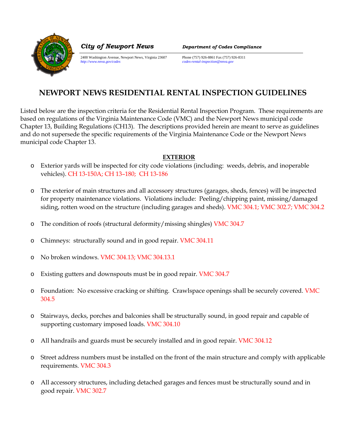

2400 Washington Avenue, Newport News, Virginia 23607 Phone (757) 926-8861 Fax (757) 926-8311<br>http://www.nnva.gov/codes<br>codes-rental-inspection@mva.gov

*City of Newport News Department of Codes Compliance*

*http://www.nnva.gov/codes codes-rental-inspection@nnva.gov*

# **NEWPORT NEWS RESIDENTIAL RENTAL INSPECTION GUIDELINES**

Listed below are the inspection criteria for the Residential Rental Inspection Program. These requirements are based on regulations of the Virginia Maintenance Code (VMC) and the Newport News municipal code Chapter 13, Building Regulations (CH13). The descriptions provided herein are meant to serve as guidelines and do not supersede the specific requirements of the Virginia Maintenance Code or the Newport News municipal code Chapter 13.

## **EXTERIOR**

- o Exterior yards will be inspected for city code violations (including: weeds, debris, and inoperable vehicles). CH 13-150A; CH 13–180; CH 13-186
- o The exterior of main structures and all accessory structures (garages, sheds, fences) will be inspected for property maintenance violations. Violations include: Peeling/chipping paint, missing/damaged siding, rotten wood on the structure (including garages and sheds). VMC 304.1; VMC 302.7; VMC 304.2
- o The condition of roofs (structural deformity/missing shingles) VMC 304.7
- o Chimneys: structurally sound and in good repair. VMC 304.11
- o No broken windows. VMC 304.13; VMC 304.13.1
- o Existing gutters and downspouts must be in good repair. VMC 304.7
- o Foundation: No excessive cracking or shifting. Crawlspace openings shall be securely covered. VMC 304.5
- o Stairways, decks, porches and balconies shall be structurally sound, in good repair and capable of supporting customary imposed loads. VMC 304.10
- o All handrails and guards must be securely installed and in good repair. VMC 304.12
- o Street address numbers must be installed on the front of the main structure and comply with applicable requirements. VMC 304.3
- o All accessory structures, including detached garages and fences must be structurally sound and in good repair. VMC 302.7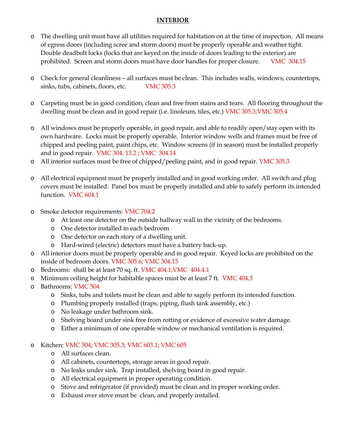#### **INTERIOR**

- o The dwelling unit must have all utilities required for habitation on at the time of inspection. All means of egress doors (including scree and storm doors) must be properly operable and weather tight. Double deadbolt locks (locks that are keyed on the inside of doors leading to the exterior) are prohibited. Screen and storm doors must have door handles for proper closure. VMC 304.15
- o Check for general cleanliness all surfaces must be clean. This includes walls, windows, countertops, sinks, tubs, cabinets, floors, etc. VMC 305.3
- o Carpeting must be in good condition, clean and free from stains and tears. All flooring throughout the dwelling must be clean and in good repair (i.e. linoleum, tiles, etc.) VMC 305.3;VMC 305.4
- o All windows must be properly operable, in good repair, and able to readily open/stay open with its own hardware. Locks must be properly operable. Interior window wells and frames must be free of chipped and peeling paint, paint chips, etc. Window screens (if in season) must be installed properly and in good repair. VMC 304. 13.2 ; VMC 304.14
- o All interior surfaces must be free of chipped/peeling paint, and in good repair. VMC 305.3
- o All electrical equipment must be properly installed and in good working order. All switch and plug covers must be installed. Panel box must be properly installed and able to safely perform its intended function. VMC 604.1
- o Smoke detector requirements: VMC 704.2
	- o At least one detector on the outside hallway wall in the vicinity of the bedrooms.
	- o One detector installed in each bedroom
	- o One detector on each story of a dwelling unit.
	- o Hard-wired (electric) detectors must have a battery back-up.
- o All interior doors must be properly operable and in good repair. Keyed locks are prohibited on the inside of bedroom doors. VMC 305.6; VMC 304.15
- o Bedrooms: shall be at least 70 sq. ft. VMC 404.1;VMC 404.4.1
- o Minimum ceiling height for habitable spaces must be at least 7 ft. VMC 404.3
- o Bathrooms: VMC 504
	- o Sinks, tubs and toilets must be clean and able to sagely perform its intended function.
	- o Plumbing properly installed (traps, piping, flush tank assembly, etc.)
	- o No leakage under bathroom sink.
	- o Shelving board under sink free from rotting or evidence of excessive water damage.
	- o Either a minimum of one operable window or mechanical ventilation is required.

#### o Kitchen: VMC 504; VMC 305.3; VMC 603.1; VMC 605

- o All surfaces clean.
- o All cabinets, countertops, storage areas in good repair.
- o No leaks under sink. Trap installed, shelving board in good repair.
- o All electrical equipment in proper operating condition.
- o Stove and refrigerator (if provided) must be clean and in proper working order.
- o Exhaust over stove must be clean, and properly installed.